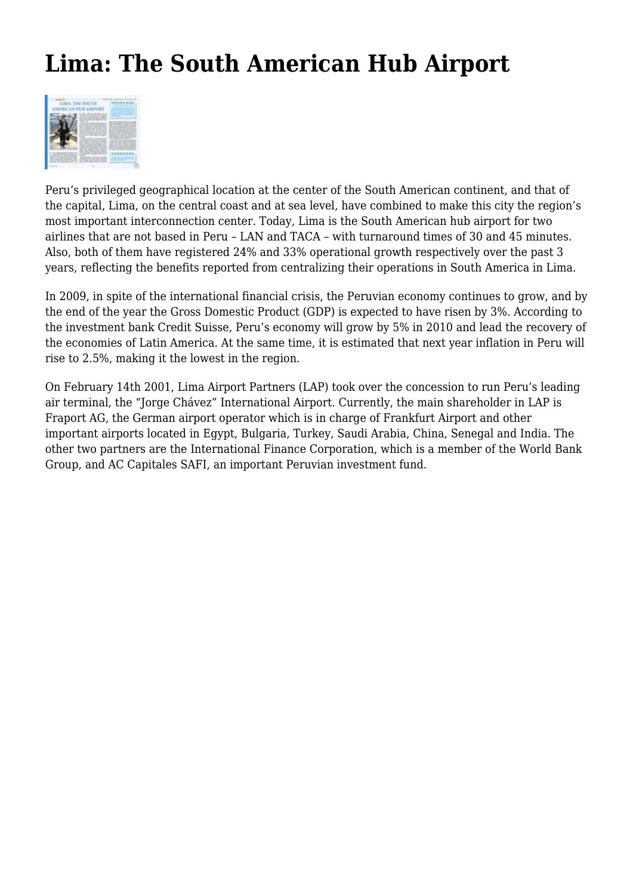## **Lima: The South American Hub Airport**



Peru's privileged geographical location at the center of the South American continent, and that of the capital, Lima, on the central coast and at sea level, have combined to make this city the region's most important interconnection center. Today, Lima is the South American hub airport for two airlines that are not based in Peru – LAN and TACA – with turnaround times of 30 and 45 minutes. Also, both of them have registered 24% and 33% operational growth respectively over the past 3 years, reflecting the benefits reported from centralizing their operations in South America in Lima.

In 2009, in spite of the international financial crisis, the Peruvian economy continues to grow, and by the end of the year the Gross Domestic Product (GDP) is expected to have risen by 3%. According to the investment bank Credit Suisse, Peru's economy will grow by 5% in 2010 and lead the recovery of the economies of Latin America. At the same time, it is estimated that next year inflation in Peru will rise to 2.5%, making it the lowest in the region.

On February 14th 2001, Lima Airport Partners (LAP) took over the concession to run Peru's leading air terminal, the "Jorge Chávez" International Airport. Currently, the main shareholder in LAP is Fraport AG, the German airport operator which is in charge of Frankfurt Airport and other important airports located in Egypt, Bulgaria, Turkey, Saudi Arabia, China, Senegal and India. The other two partners are the International Finance Corporation, which is a member of the World Bank Group, and AC Capitales SAFI, an important Peruvian investment fund.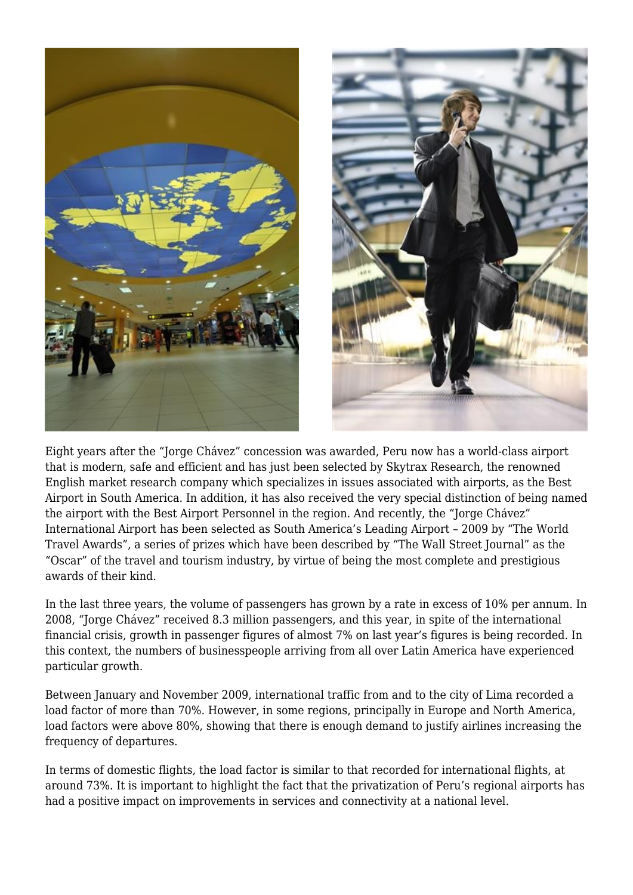

Eight years after the "Jorge Chávez" concession was awarded, Peru now has a world-class airport that is modern, safe and efficient and has just been selected by Skytrax Research, the renowned English market research company which specializes in issues associated with airports, as the Best Airport in South America. In addition, it has also received the very special distinction of being named the airport with the Best Airport Personnel in the region. And recently, the "Jorge Chávez" International Airport has been selected as South America's Leading Airport – 2009 by "The World Travel Awards", a series of prizes which have been described by "The Wall Street Journal" as the "Oscar" of the travel and tourism industry, by virtue of being the most complete and prestigious awards of their kind.

In the last three years, the volume of passengers has grown by a rate in excess of 10% per annum. In 2008, "Jorge Chávez" received 8.3 million passengers, and this year, in spite of the international financial crisis, growth in passenger figures of almost 7% on last year's figures is being recorded. In this context, the numbers of businesspeople arriving from all over Latin America have experienced particular growth.

Between January and November 2009, international traffic from and to the city of Lima recorded a load factor of more than 70%. However, in some regions, principally in Europe and North America, load factors were above 80%, showing that there is enough demand to justify airlines increasing the frequency of departures.

In terms of domestic flights, the load factor is similar to that recorded for international flights, at around 73%. It is important to highlight the fact that the privatization of Peru's regional airports has had a positive impact on improvements in services and connectivity at a national level.